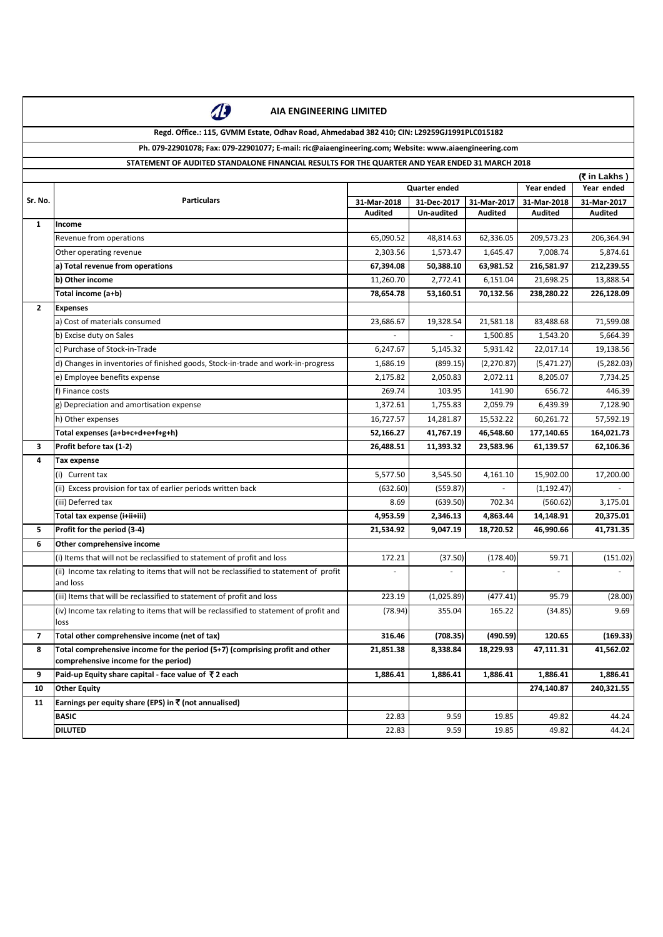

**Regd. Office.: 115, GVMM Estate, Odhav Road, Ahmedabad 382 410; CIN: L29259GJ1991PLC015182**

## **Ph. 079-22901078; Fax: 079-22901077; E-mail: ric@aiaengineering.com; Website: www.aiaengineering.com**

### **STATEMENT OF AUDITED STANDALONE FINANCIAL RESULTS FOR THE QUARTER AND YEAR ENDED 31 MARCH 2018**

| Year ended<br><b>Quarter ended</b><br>Year ended<br>Sr. No.<br><b>Particulars</b><br>31-Mar-2017<br>31-Mar-2018<br>31-Dec-2017<br>31-Mar-2018<br>31-Mar-2017<br><b>Audited</b><br><b>Un-audited</b><br><b>Audited</b><br>Audited<br><b>Audited</b><br>$\mathbf{1}$<br>Income<br>206,364.94<br>Revenue from operations<br>65,090.52<br>48,814.63<br>62,336.05<br>209,573.23<br>2,303.56<br>5,874.61<br>Other operating revenue<br>1,573.47<br>1,645.47<br>7,008.74<br>a) Total revenue from operations<br>67,394.08<br>63,981.52<br>216,581.97<br>212,239.55<br>50,388.10<br>b) Other income<br>2,772.41<br>6,151.04<br>13,888.54<br>11,260.70<br>21,698.25<br>Total income (a+b)<br>78,654.78<br>53,160.51<br>70,132.56<br>238,280.22<br>226,128.09<br>$\mathbf{2}$<br><b>Expenses</b><br>a) Cost of materials consumed<br>23,686.67<br>19,328.54<br>21,581.18<br>83,488.68<br>71,599.08<br>b) Excise duty on Sales<br>1,500.85<br>5,664.39<br>1,543.20<br>c) Purchase of Stock-in-Trade<br>5,931.42<br>22,017.14<br>19,138.56<br>5,145.32<br>6,247.67<br>d) Changes in inventories of finished goods, Stock-in-trade and work-in-progress<br>(899.15)<br>(2,270.87)<br>(5,471.27)<br>(5,282.03)<br>1,686.19<br>e) Employee benefits expense<br>2,175.82<br>2,050.83<br>2,072.11<br>8,205.07<br>7,734.25<br>f) Finance costs<br>269.74<br>103.95<br>141.90<br>656.72<br>446.39<br>g) Depreciation and amortisation expense<br>1,372.61<br>1,755.83<br>2,059.79<br>6,439.39<br>7,128.90<br>h) Other expenses<br>16,727.57<br>15,532.22<br>60,261.72<br>57,592.19<br>14,281.87<br>Total expenses (a+b+c+d+e+f+g+h)<br>46,548.60<br>164,021.73<br>52,166.27<br>41,767.19<br>177,140.65<br>Profit before tax (1-2)<br>26,488.51<br>11,393.32<br>23,583.96<br>62,106.36<br>3<br>61,139.57<br>4<br><b>Tax expense</b><br>5,577.50<br>3,545.50<br>4,161.10<br>15,902.00<br>17,200.00<br>(i) Current tax<br>(ii) Excess provision for tax of earlier periods written back<br>(632.60)<br>(559.87)<br>(1, 192.47)<br>(iii) Deferred tax<br>8.69<br>(639.50)<br>702.34<br>(560.62)<br>3,175.01<br>Total tax expense (i+ii+iii)<br>4,953.59<br>2,346.13<br>4,863.44<br>14,148.91<br>20,375.01<br>Profit for the period (3-4)<br>41,731.35<br>21,534.92<br>9,047.19<br>18,720.52<br>46,990.66<br>5.<br>6<br>Other comprehensive income<br>(i) Items that will not be reclassified to statement of profit and loss<br>172.21<br>(178.40)<br>59.71<br>(37.50)<br>(ii) Income tax relating to items that will not be reclassified to statement of profit<br>and loss<br>(1,025.89)<br>95.79<br>223.19<br>(477.41)<br>(iii) Items that will be reclassified to statement of profit and loss<br>(iv) Income tax relating to items that will be reclassified to statement of profit and<br>(78.94)<br>9.69<br>355.04<br>165.22<br>(34.85)<br>loss<br>Total other comprehensive income (net of tax)<br>316.46<br>(708.35)<br>(490.59)<br>120.65<br>7<br>Total comprehensive income for the period (5+7) (comprising profit and other<br>41,562.02<br>8<br>21,851.38<br>8,338.84<br>18,229.93<br>47,111.31<br>comprehensive income for the period)<br>Paid-up Equity share capital - face value of ₹2 each<br>1,886.41<br>1,886.41<br>9<br>1,886.41<br>1,886.41<br>1,886.41<br>274,140.87<br>240,321.55<br>10<br><b>Other Equity</b><br>Earnings per equity share (EPS) in ₹ (not annualised)<br>11<br><b>BASIC</b><br>22.83<br>9.59<br>49.82<br>19.85<br>44.24<br><b>DILUTED</b><br>22.83<br>9.59<br>19.85<br>49.82<br>44.24 |  | (₹ in Lakhs) |  |  |  |  |  |
|-----------------------------------------------------------------------------------------------------------------------------------------------------------------------------------------------------------------------------------------------------------------------------------------------------------------------------------------------------------------------------------------------------------------------------------------------------------------------------------------------------------------------------------------------------------------------------------------------------------------------------------------------------------------------------------------------------------------------------------------------------------------------------------------------------------------------------------------------------------------------------------------------------------------------------------------------------------------------------------------------------------------------------------------------------------------------------------------------------------------------------------------------------------------------------------------------------------------------------------------------------------------------------------------------------------------------------------------------------------------------------------------------------------------------------------------------------------------------------------------------------------------------------------------------------------------------------------------------------------------------------------------------------------------------------------------------------------------------------------------------------------------------------------------------------------------------------------------------------------------------------------------------------------------------------------------------------------------------------------------------------------------------------------------------------------------------------------------------------------------------------------------------------------------------------------------------------------------------------------------------------------------------------------------------------------------------------------------------------------------------------------------------------------------------------------------------------------------------------------------------------------------------------------------------------------------------------------------------------------------------------------------------------------------------------------------------------------------------------------------------------------------------------------------------------------------------------------------------------------------------------------------------------------------------------------------------------------------------------------------------------------------------------------------------------------------------------------------------------------------------------------------------------------------------------------------------------------------------------------------------------------------------------------------------------------------------------------------------------------------------------------------------------------------------------------------------------------------------------------------------------------|--|--------------|--|--|--|--|--|
|                                                                                                                                                                                                                                                                                                                                                                                                                                                                                                                                                                                                                                                                                                                                                                                                                                                                                                                                                                                                                                                                                                                                                                                                                                                                                                                                                                                                                                                                                                                                                                                                                                                                                                                                                                                                                                                                                                                                                                                                                                                                                                                                                                                                                                                                                                                                                                                                                                                                                                                                                                                                                                                                                                                                                                                                                                                                                                                                                                                                                                                                                                                                                                                                                                                                                                                                                                                                                                                                                                           |  |              |  |  |  |  |  |
| (151.02)<br>(28.00)<br>(169.33)                                                                                                                                                                                                                                                                                                                                                                                                                                                                                                                                                                                                                                                                                                                                                                                                                                                                                                                                                                                                                                                                                                                                                                                                                                                                                                                                                                                                                                                                                                                                                                                                                                                                                                                                                                                                                                                                                                                                                                                                                                                                                                                                                                                                                                                                                                                                                                                                                                                                                                                                                                                                                                                                                                                                                                                                                                                                                                                                                                                                                                                                                                                                                                                                                                                                                                                                                                                                                                                                           |  |              |  |  |  |  |  |
|                                                                                                                                                                                                                                                                                                                                                                                                                                                                                                                                                                                                                                                                                                                                                                                                                                                                                                                                                                                                                                                                                                                                                                                                                                                                                                                                                                                                                                                                                                                                                                                                                                                                                                                                                                                                                                                                                                                                                                                                                                                                                                                                                                                                                                                                                                                                                                                                                                                                                                                                                                                                                                                                                                                                                                                                                                                                                                                                                                                                                                                                                                                                                                                                                                                                                                                                                                                                                                                                                                           |  |              |  |  |  |  |  |
|                                                                                                                                                                                                                                                                                                                                                                                                                                                                                                                                                                                                                                                                                                                                                                                                                                                                                                                                                                                                                                                                                                                                                                                                                                                                                                                                                                                                                                                                                                                                                                                                                                                                                                                                                                                                                                                                                                                                                                                                                                                                                                                                                                                                                                                                                                                                                                                                                                                                                                                                                                                                                                                                                                                                                                                                                                                                                                                                                                                                                                                                                                                                                                                                                                                                                                                                                                                                                                                                                                           |  |              |  |  |  |  |  |
|                                                                                                                                                                                                                                                                                                                                                                                                                                                                                                                                                                                                                                                                                                                                                                                                                                                                                                                                                                                                                                                                                                                                                                                                                                                                                                                                                                                                                                                                                                                                                                                                                                                                                                                                                                                                                                                                                                                                                                                                                                                                                                                                                                                                                                                                                                                                                                                                                                                                                                                                                                                                                                                                                                                                                                                                                                                                                                                                                                                                                                                                                                                                                                                                                                                                                                                                                                                                                                                                                                           |  |              |  |  |  |  |  |
|                                                                                                                                                                                                                                                                                                                                                                                                                                                                                                                                                                                                                                                                                                                                                                                                                                                                                                                                                                                                                                                                                                                                                                                                                                                                                                                                                                                                                                                                                                                                                                                                                                                                                                                                                                                                                                                                                                                                                                                                                                                                                                                                                                                                                                                                                                                                                                                                                                                                                                                                                                                                                                                                                                                                                                                                                                                                                                                                                                                                                                                                                                                                                                                                                                                                                                                                                                                                                                                                                                           |  |              |  |  |  |  |  |
|                                                                                                                                                                                                                                                                                                                                                                                                                                                                                                                                                                                                                                                                                                                                                                                                                                                                                                                                                                                                                                                                                                                                                                                                                                                                                                                                                                                                                                                                                                                                                                                                                                                                                                                                                                                                                                                                                                                                                                                                                                                                                                                                                                                                                                                                                                                                                                                                                                                                                                                                                                                                                                                                                                                                                                                                                                                                                                                                                                                                                                                                                                                                                                                                                                                                                                                                                                                                                                                                                                           |  |              |  |  |  |  |  |
|                                                                                                                                                                                                                                                                                                                                                                                                                                                                                                                                                                                                                                                                                                                                                                                                                                                                                                                                                                                                                                                                                                                                                                                                                                                                                                                                                                                                                                                                                                                                                                                                                                                                                                                                                                                                                                                                                                                                                                                                                                                                                                                                                                                                                                                                                                                                                                                                                                                                                                                                                                                                                                                                                                                                                                                                                                                                                                                                                                                                                                                                                                                                                                                                                                                                                                                                                                                                                                                                                                           |  |              |  |  |  |  |  |
|                                                                                                                                                                                                                                                                                                                                                                                                                                                                                                                                                                                                                                                                                                                                                                                                                                                                                                                                                                                                                                                                                                                                                                                                                                                                                                                                                                                                                                                                                                                                                                                                                                                                                                                                                                                                                                                                                                                                                                                                                                                                                                                                                                                                                                                                                                                                                                                                                                                                                                                                                                                                                                                                                                                                                                                                                                                                                                                                                                                                                                                                                                                                                                                                                                                                                                                                                                                                                                                                                                           |  |              |  |  |  |  |  |
|                                                                                                                                                                                                                                                                                                                                                                                                                                                                                                                                                                                                                                                                                                                                                                                                                                                                                                                                                                                                                                                                                                                                                                                                                                                                                                                                                                                                                                                                                                                                                                                                                                                                                                                                                                                                                                                                                                                                                                                                                                                                                                                                                                                                                                                                                                                                                                                                                                                                                                                                                                                                                                                                                                                                                                                                                                                                                                                                                                                                                                                                                                                                                                                                                                                                                                                                                                                                                                                                                                           |  |              |  |  |  |  |  |
|                                                                                                                                                                                                                                                                                                                                                                                                                                                                                                                                                                                                                                                                                                                                                                                                                                                                                                                                                                                                                                                                                                                                                                                                                                                                                                                                                                                                                                                                                                                                                                                                                                                                                                                                                                                                                                                                                                                                                                                                                                                                                                                                                                                                                                                                                                                                                                                                                                                                                                                                                                                                                                                                                                                                                                                                                                                                                                                                                                                                                                                                                                                                                                                                                                                                                                                                                                                                                                                                                                           |  |              |  |  |  |  |  |
|                                                                                                                                                                                                                                                                                                                                                                                                                                                                                                                                                                                                                                                                                                                                                                                                                                                                                                                                                                                                                                                                                                                                                                                                                                                                                                                                                                                                                                                                                                                                                                                                                                                                                                                                                                                                                                                                                                                                                                                                                                                                                                                                                                                                                                                                                                                                                                                                                                                                                                                                                                                                                                                                                                                                                                                                                                                                                                                                                                                                                                                                                                                                                                                                                                                                                                                                                                                                                                                                                                           |  |              |  |  |  |  |  |
|                                                                                                                                                                                                                                                                                                                                                                                                                                                                                                                                                                                                                                                                                                                                                                                                                                                                                                                                                                                                                                                                                                                                                                                                                                                                                                                                                                                                                                                                                                                                                                                                                                                                                                                                                                                                                                                                                                                                                                                                                                                                                                                                                                                                                                                                                                                                                                                                                                                                                                                                                                                                                                                                                                                                                                                                                                                                                                                                                                                                                                                                                                                                                                                                                                                                                                                                                                                                                                                                                                           |  |              |  |  |  |  |  |
|                                                                                                                                                                                                                                                                                                                                                                                                                                                                                                                                                                                                                                                                                                                                                                                                                                                                                                                                                                                                                                                                                                                                                                                                                                                                                                                                                                                                                                                                                                                                                                                                                                                                                                                                                                                                                                                                                                                                                                                                                                                                                                                                                                                                                                                                                                                                                                                                                                                                                                                                                                                                                                                                                                                                                                                                                                                                                                                                                                                                                                                                                                                                                                                                                                                                                                                                                                                                                                                                                                           |  |              |  |  |  |  |  |
|                                                                                                                                                                                                                                                                                                                                                                                                                                                                                                                                                                                                                                                                                                                                                                                                                                                                                                                                                                                                                                                                                                                                                                                                                                                                                                                                                                                                                                                                                                                                                                                                                                                                                                                                                                                                                                                                                                                                                                                                                                                                                                                                                                                                                                                                                                                                                                                                                                                                                                                                                                                                                                                                                                                                                                                                                                                                                                                                                                                                                                                                                                                                                                                                                                                                                                                                                                                                                                                                                                           |  |              |  |  |  |  |  |
|                                                                                                                                                                                                                                                                                                                                                                                                                                                                                                                                                                                                                                                                                                                                                                                                                                                                                                                                                                                                                                                                                                                                                                                                                                                                                                                                                                                                                                                                                                                                                                                                                                                                                                                                                                                                                                                                                                                                                                                                                                                                                                                                                                                                                                                                                                                                                                                                                                                                                                                                                                                                                                                                                                                                                                                                                                                                                                                                                                                                                                                                                                                                                                                                                                                                                                                                                                                                                                                                                                           |  |              |  |  |  |  |  |
|                                                                                                                                                                                                                                                                                                                                                                                                                                                                                                                                                                                                                                                                                                                                                                                                                                                                                                                                                                                                                                                                                                                                                                                                                                                                                                                                                                                                                                                                                                                                                                                                                                                                                                                                                                                                                                                                                                                                                                                                                                                                                                                                                                                                                                                                                                                                                                                                                                                                                                                                                                                                                                                                                                                                                                                                                                                                                                                                                                                                                                                                                                                                                                                                                                                                                                                                                                                                                                                                                                           |  |              |  |  |  |  |  |
|                                                                                                                                                                                                                                                                                                                                                                                                                                                                                                                                                                                                                                                                                                                                                                                                                                                                                                                                                                                                                                                                                                                                                                                                                                                                                                                                                                                                                                                                                                                                                                                                                                                                                                                                                                                                                                                                                                                                                                                                                                                                                                                                                                                                                                                                                                                                                                                                                                                                                                                                                                                                                                                                                                                                                                                                                                                                                                                                                                                                                                                                                                                                                                                                                                                                                                                                                                                                                                                                                                           |  |              |  |  |  |  |  |
|                                                                                                                                                                                                                                                                                                                                                                                                                                                                                                                                                                                                                                                                                                                                                                                                                                                                                                                                                                                                                                                                                                                                                                                                                                                                                                                                                                                                                                                                                                                                                                                                                                                                                                                                                                                                                                                                                                                                                                                                                                                                                                                                                                                                                                                                                                                                                                                                                                                                                                                                                                                                                                                                                                                                                                                                                                                                                                                                                                                                                                                                                                                                                                                                                                                                                                                                                                                                                                                                                                           |  |              |  |  |  |  |  |
|                                                                                                                                                                                                                                                                                                                                                                                                                                                                                                                                                                                                                                                                                                                                                                                                                                                                                                                                                                                                                                                                                                                                                                                                                                                                                                                                                                                                                                                                                                                                                                                                                                                                                                                                                                                                                                                                                                                                                                                                                                                                                                                                                                                                                                                                                                                                                                                                                                                                                                                                                                                                                                                                                                                                                                                                                                                                                                                                                                                                                                                                                                                                                                                                                                                                                                                                                                                                                                                                                                           |  |              |  |  |  |  |  |
|                                                                                                                                                                                                                                                                                                                                                                                                                                                                                                                                                                                                                                                                                                                                                                                                                                                                                                                                                                                                                                                                                                                                                                                                                                                                                                                                                                                                                                                                                                                                                                                                                                                                                                                                                                                                                                                                                                                                                                                                                                                                                                                                                                                                                                                                                                                                                                                                                                                                                                                                                                                                                                                                                                                                                                                                                                                                                                                                                                                                                                                                                                                                                                                                                                                                                                                                                                                                                                                                                                           |  |              |  |  |  |  |  |
|                                                                                                                                                                                                                                                                                                                                                                                                                                                                                                                                                                                                                                                                                                                                                                                                                                                                                                                                                                                                                                                                                                                                                                                                                                                                                                                                                                                                                                                                                                                                                                                                                                                                                                                                                                                                                                                                                                                                                                                                                                                                                                                                                                                                                                                                                                                                                                                                                                                                                                                                                                                                                                                                                                                                                                                                                                                                                                                                                                                                                                                                                                                                                                                                                                                                                                                                                                                                                                                                                                           |  |              |  |  |  |  |  |
|                                                                                                                                                                                                                                                                                                                                                                                                                                                                                                                                                                                                                                                                                                                                                                                                                                                                                                                                                                                                                                                                                                                                                                                                                                                                                                                                                                                                                                                                                                                                                                                                                                                                                                                                                                                                                                                                                                                                                                                                                                                                                                                                                                                                                                                                                                                                                                                                                                                                                                                                                                                                                                                                                                                                                                                                                                                                                                                                                                                                                                                                                                                                                                                                                                                                                                                                                                                                                                                                                                           |  |              |  |  |  |  |  |
|                                                                                                                                                                                                                                                                                                                                                                                                                                                                                                                                                                                                                                                                                                                                                                                                                                                                                                                                                                                                                                                                                                                                                                                                                                                                                                                                                                                                                                                                                                                                                                                                                                                                                                                                                                                                                                                                                                                                                                                                                                                                                                                                                                                                                                                                                                                                                                                                                                                                                                                                                                                                                                                                                                                                                                                                                                                                                                                                                                                                                                                                                                                                                                                                                                                                                                                                                                                                                                                                                                           |  |              |  |  |  |  |  |
|                                                                                                                                                                                                                                                                                                                                                                                                                                                                                                                                                                                                                                                                                                                                                                                                                                                                                                                                                                                                                                                                                                                                                                                                                                                                                                                                                                                                                                                                                                                                                                                                                                                                                                                                                                                                                                                                                                                                                                                                                                                                                                                                                                                                                                                                                                                                                                                                                                                                                                                                                                                                                                                                                                                                                                                                                                                                                                                                                                                                                                                                                                                                                                                                                                                                                                                                                                                                                                                                                                           |  |              |  |  |  |  |  |
|                                                                                                                                                                                                                                                                                                                                                                                                                                                                                                                                                                                                                                                                                                                                                                                                                                                                                                                                                                                                                                                                                                                                                                                                                                                                                                                                                                                                                                                                                                                                                                                                                                                                                                                                                                                                                                                                                                                                                                                                                                                                                                                                                                                                                                                                                                                                                                                                                                                                                                                                                                                                                                                                                                                                                                                                                                                                                                                                                                                                                                                                                                                                                                                                                                                                                                                                                                                                                                                                                                           |  |              |  |  |  |  |  |
|                                                                                                                                                                                                                                                                                                                                                                                                                                                                                                                                                                                                                                                                                                                                                                                                                                                                                                                                                                                                                                                                                                                                                                                                                                                                                                                                                                                                                                                                                                                                                                                                                                                                                                                                                                                                                                                                                                                                                                                                                                                                                                                                                                                                                                                                                                                                                                                                                                                                                                                                                                                                                                                                                                                                                                                                                                                                                                                                                                                                                                                                                                                                                                                                                                                                                                                                                                                                                                                                                                           |  |              |  |  |  |  |  |
|                                                                                                                                                                                                                                                                                                                                                                                                                                                                                                                                                                                                                                                                                                                                                                                                                                                                                                                                                                                                                                                                                                                                                                                                                                                                                                                                                                                                                                                                                                                                                                                                                                                                                                                                                                                                                                                                                                                                                                                                                                                                                                                                                                                                                                                                                                                                                                                                                                                                                                                                                                                                                                                                                                                                                                                                                                                                                                                                                                                                                                                                                                                                                                                                                                                                                                                                                                                                                                                                                                           |  |              |  |  |  |  |  |
|                                                                                                                                                                                                                                                                                                                                                                                                                                                                                                                                                                                                                                                                                                                                                                                                                                                                                                                                                                                                                                                                                                                                                                                                                                                                                                                                                                                                                                                                                                                                                                                                                                                                                                                                                                                                                                                                                                                                                                                                                                                                                                                                                                                                                                                                                                                                                                                                                                                                                                                                                                                                                                                                                                                                                                                                                                                                                                                                                                                                                                                                                                                                                                                                                                                                                                                                                                                                                                                                                                           |  |              |  |  |  |  |  |
|                                                                                                                                                                                                                                                                                                                                                                                                                                                                                                                                                                                                                                                                                                                                                                                                                                                                                                                                                                                                                                                                                                                                                                                                                                                                                                                                                                                                                                                                                                                                                                                                                                                                                                                                                                                                                                                                                                                                                                                                                                                                                                                                                                                                                                                                                                                                                                                                                                                                                                                                                                                                                                                                                                                                                                                                                                                                                                                                                                                                                                                                                                                                                                                                                                                                                                                                                                                                                                                                                                           |  |              |  |  |  |  |  |
|                                                                                                                                                                                                                                                                                                                                                                                                                                                                                                                                                                                                                                                                                                                                                                                                                                                                                                                                                                                                                                                                                                                                                                                                                                                                                                                                                                                                                                                                                                                                                                                                                                                                                                                                                                                                                                                                                                                                                                                                                                                                                                                                                                                                                                                                                                                                                                                                                                                                                                                                                                                                                                                                                                                                                                                                                                                                                                                                                                                                                                                                                                                                                                                                                                                                                                                                                                                                                                                                                                           |  |              |  |  |  |  |  |
|                                                                                                                                                                                                                                                                                                                                                                                                                                                                                                                                                                                                                                                                                                                                                                                                                                                                                                                                                                                                                                                                                                                                                                                                                                                                                                                                                                                                                                                                                                                                                                                                                                                                                                                                                                                                                                                                                                                                                                                                                                                                                                                                                                                                                                                                                                                                                                                                                                                                                                                                                                                                                                                                                                                                                                                                                                                                                                                                                                                                                                                                                                                                                                                                                                                                                                                                                                                                                                                                                                           |  |              |  |  |  |  |  |
|                                                                                                                                                                                                                                                                                                                                                                                                                                                                                                                                                                                                                                                                                                                                                                                                                                                                                                                                                                                                                                                                                                                                                                                                                                                                                                                                                                                                                                                                                                                                                                                                                                                                                                                                                                                                                                                                                                                                                                                                                                                                                                                                                                                                                                                                                                                                                                                                                                                                                                                                                                                                                                                                                                                                                                                                                                                                                                                                                                                                                                                                                                                                                                                                                                                                                                                                                                                                                                                                                                           |  |              |  |  |  |  |  |
|                                                                                                                                                                                                                                                                                                                                                                                                                                                                                                                                                                                                                                                                                                                                                                                                                                                                                                                                                                                                                                                                                                                                                                                                                                                                                                                                                                                                                                                                                                                                                                                                                                                                                                                                                                                                                                                                                                                                                                                                                                                                                                                                                                                                                                                                                                                                                                                                                                                                                                                                                                                                                                                                                                                                                                                                                                                                                                                                                                                                                                                                                                                                                                                                                                                                                                                                                                                                                                                                                                           |  |              |  |  |  |  |  |
|                                                                                                                                                                                                                                                                                                                                                                                                                                                                                                                                                                                                                                                                                                                                                                                                                                                                                                                                                                                                                                                                                                                                                                                                                                                                                                                                                                                                                                                                                                                                                                                                                                                                                                                                                                                                                                                                                                                                                                                                                                                                                                                                                                                                                                                                                                                                                                                                                                                                                                                                                                                                                                                                                                                                                                                                                                                                                                                                                                                                                                                                                                                                                                                                                                                                                                                                                                                                                                                                                                           |  |              |  |  |  |  |  |
|                                                                                                                                                                                                                                                                                                                                                                                                                                                                                                                                                                                                                                                                                                                                                                                                                                                                                                                                                                                                                                                                                                                                                                                                                                                                                                                                                                                                                                                                                                                                                                                                                                                                                                                                                                                                                                                                                                                                                                                                                                                                                                                                                                                                                                                                                                                                                                                                                                                                                                                                                                                                                                                                                                                                                                                                                                                                                                                                                                                                                                                                                                                                                                                                                                                                                                                                                                                                                                                                                                           |  |              |  |  |  |  |  |
|                                                                                                                                                                                                                                                                                                                                                                                                                                                                                                                                                                                                                                                                                                                                                                                                                                                                                                                                                                                                                                                                                                                                                                                                                                                                                                                                                                                                                                                                                                                                                                                                                                                                                                                                                                                                                                                                                                                                                                                                                                                                                                                                                                                                                                                                                                                                                                                                                                                                                                                                                                                                                                                                                                                                                                                                                                                                                                                                                                                                                                                                                                                                                                                                                                                                                                                                                                                                                                                                                                           |  |              |  |  |  |  |  |
|                                                                                                                                                                                                                                                                                                                                                                                                                                                                                                                                                                                                                                                                                                                                                                                                                                                                                                                                                                                                                                                                                                                                                                                                                                                                                                                                                                                                                                                                                                                                                                                                                                                                                                                                                                                                                                                                                                                                                                                                                                                                                                                                                                                                                                                                                                                                                                                                                                                                                                                                                                                                                                                                                                                                                                                                                                                                                                                                                                                                                                                                                                                                                                                                                                                                                                                                                                                                                                                                                                           |  |              |  |  |  |  |  |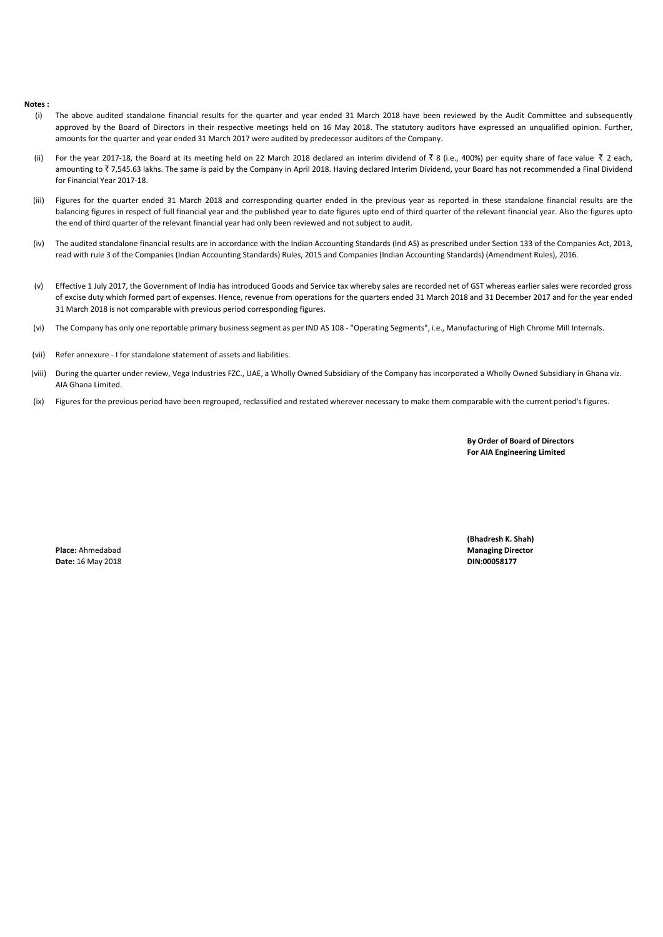#### **Notes :**

- (i) The above audited standalone financial results for the quarter and year ended 31 March 2018 have been reviewed by the Audit Committee and subsequently approved by the Board of Directors in their respective meetings held on 16 May 2018. The statutory auditors have expressed an unqualified opinion. Further, amounts for the quarter and year ended 31 March 2017 were audited by predecessor auditors of the Company.
- (ii) For the year 2017-18, the Board at its meeting held on 22 March 2018 declared an interim dividend of  $\bar{z}$  8 (i.e., 400%) per equity share of face value  $\bar{z}$  2 each, amounting to  $\bar{\tau}$  7,545.63 lakhs. The same is paid by the Company in April 2018. Having declared Interim Dividend, your Board has not recommended a Final Dividend for Financial Year 2017-18.
- (iii) Figures for the quarter ended 31 March 2018 and corresponding quarter ended in the previous year as reported in these standalone financial results are the balancing figures in respect of full financial year and the published year to date figures upto end of third quarter of the relevant financial year. Also the figures upto the end of third quarter of the relevant financial year had only been reviewed and not subject to audit.
- (iv) The audited standalone financial results are in accordance with the Indian Accounting Standards (lnd AS) as prescribed under Section 133 of the Companies Act, 2013, read with rule 3 of the Companies (Indian Accounting Standards) Rules, 2015 and Companies (Indian Accounting Standards) (Amendment Rules), 2016.
- (v) Effective 1 July 2017, the Government of India has introduced Goods and Service tax whereby sales are recorded net of GST whereas earlier sales were recorded gross of excise duty which formed part of expenses. Hence, revenue from operations for the quarters ended 31 March 2018 and 31 December 2017 and for the year ended 31 March 2018 is not comparable with previous period corresponding figures.
- (vi) The Company has only one reportable primary business segment as per IND AS 108 - "Operating Segments", i.e., Manufacturing of High Chrome Mill Internals.
- (vii) Refer annexure - I for standalone statement of assets and liabilities.
- (viii) During the quarter under review, Vega Industries FZC., UAE, a Wholly Owned Subsidiary of the Company has incorporated a Wholly Owned Subsidiary in Ghana viz. AIA Ghana Limited.
- (ix) Figures for the previous period have been regrouped, reclassified and restated wherever necessary to make them comparable with the current period's figures.

**By Order of Board of Directors For AIA Engineering Limited**

**Date:** 16 May 2018 **DIN:00058177** 

**(Bhadresh K. Shah) Place:** Ahmedabad **Managing Director Managing Director Managing Director Managing Director**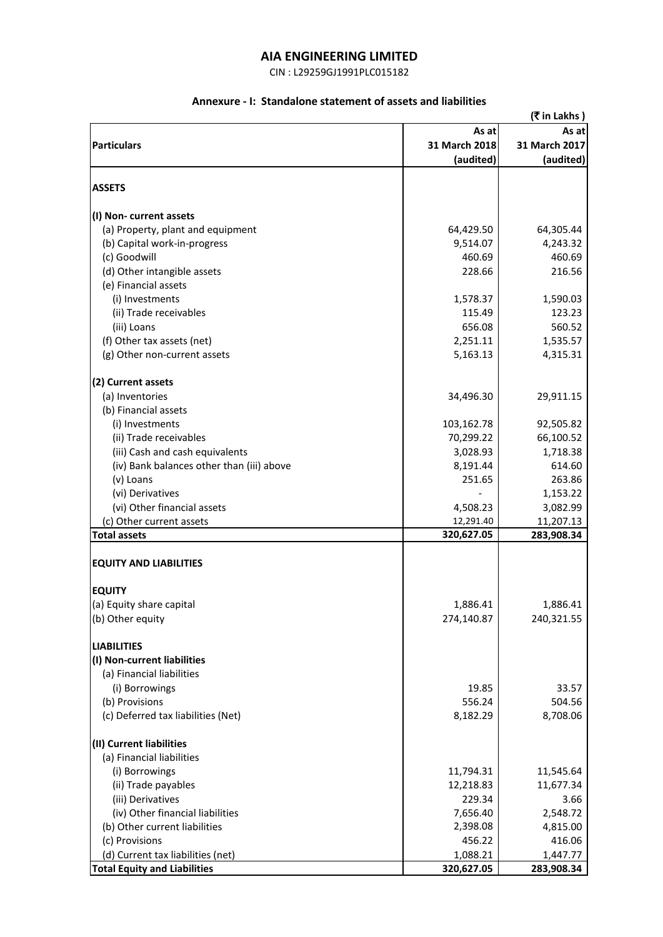CIN : L29259GJ1991PLC015182

## **Annexure - I: Standalone statement of assets and liabilities**

|                                           |               | (₹ in Lakhs)  |
|-------------------------------------------|---------------|---------------|
|                                           | As at         | As at         |
| <b>Particulars</b>                        | 31 March 2018 | 31 March 2017 |
|                                           | (audited)     | (audited)     |
|                                           |               |               |
| <b>ASSETS</b>                             |               |               |
| (I) Non-current assets                    |               |               |
| (a) Property, plant and equipment         | 64,429.50     | 64,305.44     |
| (b) Capital work-in-progress              | 9,514.07      | 4,243.32      |
| (c) Goodwill                              | 460.69        | 460.69        |
| (d) Other intangible assets               | 228.66        | 216.56        |
| (e) Financial assets                      |               |               |
| (i) Investments                           | 1,578.37      | 1,590.03      |
| (ii) Trade receivables                    | 115.49        | 123.23        |
| (iii) Loans                               | 656.08        | 560.52        |
| (f) Other tax assets (net)                | 2,251.11      | 1,535.57      |
| (g) Other non-current assets              | 5,163.13      | 4,315.31      |
| (2) Current assets                        |               |               |
| (a) Inventories                           | 34,496.30     | 29,911.15     |
| (b) Financial assets                      |               |               |
| (i) Investments                           | 103,162.78    | 92,505.82     |
| (ii) Trade receivables                    | 70,299.22     | 66,100.52     |
| (iii) Cash and cash equivalents           | 3,028.93      | 1,718.38      |
| (iv) Bank balances other than (iii) above | 8,191.44      | 614.60        |
| (v) Loans                                 | 251.65        | 263.86        |
| (vi) Derivatives                          |               | 1,153.22      |
| (vi) Other financial assets               | 4,508.23      | 3,082.99      |
| (c) Other current assets                  | 12,291.40     | 11,207.13     |
| <b>Total assets</b>                       | 320,627.05    | 283,908.34    |
|                                           |               |               |
| <b>EQUITY AND LIABILITIES</b>             |               |               |
| <b>EQUITY</b>                             |               |               |
| (a) Equity share capital                  | 1,886.41      | 1,886.41      |
| (b) Other equity                          | 274,140.87    | 240,321.55    |
| <b>LIABILITIES</b>                        |               |               |
| (I) Non-current liabilities               |               |               |
| (a) Financial liabilities                 |               |               |
| (i) Borrowings                            | 19.85         | 33.57         |
| (b) Provisions                            | 556.24        | 504.56        |
| (c) Deferred tax liabilities (Net)        | 8,182.29      | 8,708.06      |
| (II) Current liabilities                  |               |               |
| (a) Financial liabilities                 |               |               |
| (i) Borrowings                            | 11,794.31     | 11,545.64     |
| (ii) Trade payables                       | 12,218.83     | 11,677.34     |
| (iii) Derivatives                         | 229.34        | 3.66          |
| (iv) Other financial liabilities          | 7,656.40      | 2,548.72      |
| (b) Other current liabilities             | 2,398.08      | 4,815.00      |
| (c) Provisions                            | 456.22        | 416.06        |
| (d) Current tax liabilities (net)         | 1,088.21      | 1,447.77      |
| <b>Total Equity and Liabilities</b>       | 320,627.05    | 283,908.34    |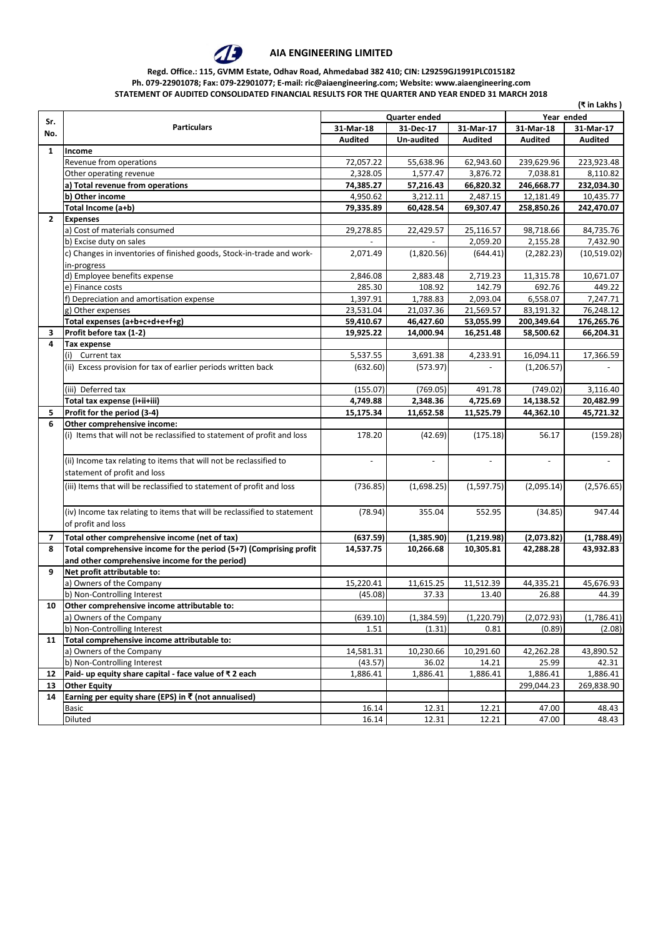

### **Regd. Office.: 115, GVMM Estate, Odhav Road, Ahmedabad 382 410; CIN: L29259GJ1991PLC015182 Ph. 079-22901078; Fax: 079-22901077; E-mail: ric@aiaengineering.com; Website: www.aiaengineering.com**

**STATEMENT OF AUDITED CONSOLIDATED FINANCIAL RESULTS FOR THE QUARTER AND YEAR ENDED 31 MARCH 2018**

|              | (₹ in Lakhs)                                                                                       |                          |                          |                          |                          |                          |  |
|--------------|----------------------------------------------------------------------------------------------------|--------------------------|--------------------------|--------------------------|--------------------------|--------------------------|--|
| Sr.          |                                                                                                    | <b>Quarter ended</b>     |                          |                          | Year ended               |                          |  |
| No.          | <b>Particulars</b>                                                                                 | 31-Mar-18                | 31-Dec-17                | 31-Mar-17                | 31-Mar-18                | 31-Mar-17                |  |
|              |                                                                                                    | <b>Audited</b>           | Un-audited               | <b>Audited</b>           | <b>Audited</b>           | <b>Audited</b>           |  |
| $\mathbf{1}$ | Income                                                                                             |                          |                          |                          |                          |                          |  |
|              | Revenue from operations                                                                            | 72,057.22                | 55,638.96                | 62,943.60                | 239,629.96               | 223,923.48               |  |
|              | Other operating revenue                                                                            | 2,328.05                 | 1,577.47                 | 3,876.72                 | 7,038.81                 | 8,110.82                 |  |
|              | a) Total revenue from operations                                                                   | 74,385.27                | 57,216.43                | 66,820.32                | 246,668.77               | 232,034.30               |  |
|              | b) Other income                                                                                    | 4,950.62                 | 3,212.11                 | 2,487.15                 | 12,181.49                | 10,435.77                |  |
|              | Total Income (a+b)                                                                                 | 79,335.89                | 60,428.54                | 69,307.47                | 258,850.26               | 242,470.07               |  |
| $2^{\circ}$  | <b>Expenses</b>                                                                                    |                          |                          |                          |                          |                          |  |
|              | a) Cost of materials consumed                                                                      | 29,278.85                | 22,429.57                | 25,116.57                | 98,718.66                | 84,735.76                |  |
|              | b) Excise duty on sales                                                                            |                          |                          | 2,059.20                 | 2,155.28                 | 7,432.90                 |  |
|              | c) Changes in inventories of finished goods, Stock-in-trade and work-                              | 2,071.49                 | (1,820.56)               | (644.41)                 | (2, 282.23)              | (10,519.02)              |  |
|              | in-progress                                                                                        |                          |                          |                          |                          |                          |  |
|              | d) Employee benefits expense                                                                       | 2,846.08                 | 2,883.48                 | 2,719.23                 | 11,315.78                | 10,671.07                |  |
|              | e) Finance costs                                                                                   | 285.30                   | 108.92                   | 142.79                   | 692.76                   | 449.22                   |  |
|              | f) Depreciation and amortisation expense                                                           | 1,397.91                 | 1,788.83                 | 2,093.04                 | 6,558.07                 | 7,247.71                 |  |
|              | g) Other expenses                                                                                  | 23,531.04                | 21,037.36                | 21,569.57                | 83,191.32                | 76,248.12                |  |
|              | Total expenses (a+b+c+d+e+f+g)                                                                     | 59,410.67                | 46,427.60                | 53,055.99                | 200,349.64               | 176,265.76               |  |
| 3            | Profit before tax (1-2)                                                                            | 19,925.22                | 14,000.94                | 16,251.48                | 58,500.62                | 66,204.31                |  |
| 4            | <b>Tax expense</b>                                                                                 |                          |                          |                          |                          |                          |  |
|              | Current tax<br>(i)                                                                                 | 5,537.55                 | 3,691.38                 | 4,233.91                 | 16,094.11                | 17,366.59                |  |
|              | (ii) Excess provision for tax of earlier periods written back                                      | (632.60)                 | (573.97)                 |                          | (1, 206.57)              |                          |  |
|              | (iii) Deferred tax                                                                                 | (155.07)                 | (769.05)                 | 491.78                   | (749.02)                 | 3,116.40                 |  |
|              | Total tax expense (i+ii+iii)                                                                       | 4,749.88                 | 2,348.36                 | 4,725.69                 | 14,138.52                | 20,482.99                |  |
| 5            | Profit for the period (3-4)                                                                        | 15,175.34                | 11,652.58                | 11,525.79                | 44,362.10                | 45,721.32                |  |
| 6            | Other comprehensive income:                                                                        |                          |                          |                          |                          |                          |  |
|              | (i) Items that will not be reclassified to statement of profit and loss                            | 178.20                   | (42.69)                  | (175.18)                 | 56.17                    | (159.28)                 |  |
|              | (ii) Income tax relating to items that will not be reclassified to<br>statement of profit and loss | $\overline{\phantom{a}}$ | $\overline{\phantom{a}}$ | $\overline{\phantom{a}}$ | $\overline{\phantom{a}}$ | $\overline{\phantom{a}}$ |  |
|              | (iii) Items that will be reclassified to statement of profit and loss                              | (736.85)                 | (1,698.25)               | (1,597.75)               | (2,095.14)               | (2,576.65)               |  |
|              | (iv) Income tax relating to items that will be reclassified to statement<br>of profit and loss     | (78.94)                  | 355.04                   | 552.95                   | (34.85)                  | 947.44                   |  |
| 7            | Total other comprehensive income (net of tax)                                                      | (637.59)                 | (1,385.90)               | (1, 219.98)              | (2,073.82)               | (1,788.49)               |  |
| 8            | Total comprehensive income for the period (5+7) (Comprising profit                                 | 14,537.75                | 10,266.68                | 10,305.81                | 42,288.28                | 43,932.83                |  |
|              | and other comprehensive income for the period)                                                     |                          |                          |                          |                          |                          |  |
| 9            | Net profit attributable to:                                                                        |                          |                          |                          |                          |                          |  |
|              | a) Owners of the Company                                                                           | 15,220.41                | 11,615.25                | 11,512.39                | 44,335.21                | 45,676.93                |  |
|              | b) Non-Controlling Interest                                                                        | (45.08)                  | 37.33                    | 13.40                    | 26.88                    | 44.39                    |  |
| 10           | Other comprehensive income attributable to:                                                        |                          |                          |                          |                          |                          |  |
|              | a) Owners of the Company                                                                           | (639.10)                 | (1, 384.59)              | (1,220.79)               | (2,072.93)               | (1,786.41)               |  |
|              | b) Non-Controlling Interest                                                                        | 1.51                     | (1.31)                   | 0.81                     | (0.89)                   | (2.08)                   |  |
| 11           | Total comprehensive income attributable to:                                                        |                          |                          |                          |                          |                          |  |
|              | a) Owners of the Company                                                                           | 14,581.31                | 10,230.66                | 10,291.60                | 42,262.28                | 43,890.52                |  |
|              | b) Non-Controlling Interest                                                                        | (43.57)                  | 36.02                    | 14.21                    | 25.99                    | 42.31                    |  |
| 12           | Paid- up equity share capital - face value of ₹ 2 each                                             | 1,886.41                 | 1,886.41                 | 1,886.41                 | 1,886.41                 | 1,886.41                 |  |
| 13           | <b>Other Equity</b>                                                                                |                          |                          |                          | 299,044.23               | 269,838.90               |  |
| 14           | Earning per equity share (EPS) in ₹ (not annualised)                                               |                          |                          |                          |                          |                          |  |
|              | Basic                                                                                              | 16.14                    | 12.31                    | 12.21                    | 47.00                    | 48.43                    |  |
|              | Diluted                                                                                            | 16.14                    | 12.31                    | 12.21                    | 47.00                    | 48.43                    |  |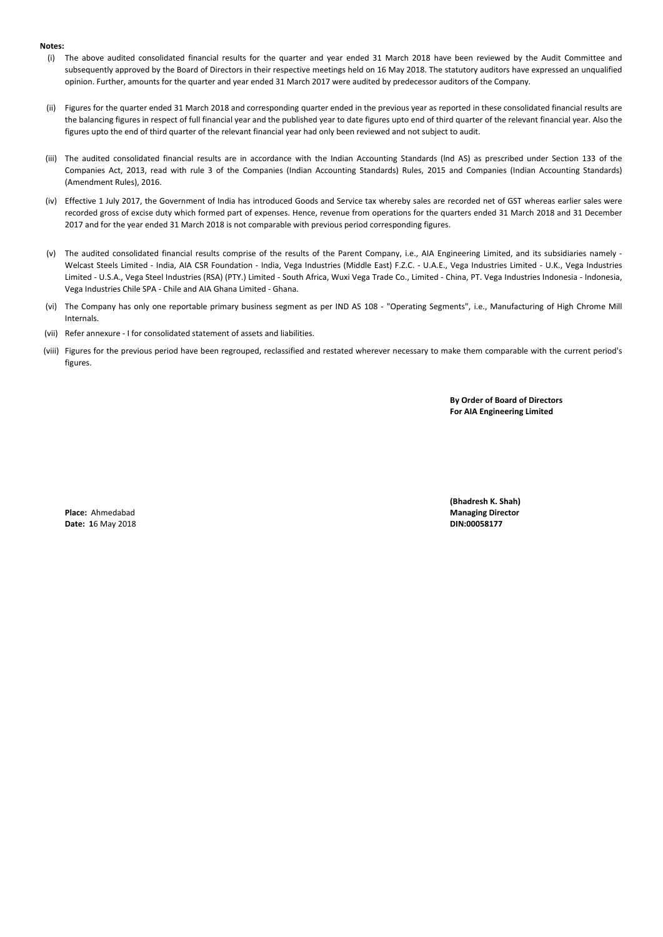#### **Notes:**

- (i) The above audited consolidated financial results for the quarter and year ended 31 March 2018 have been reviewed by the Audit Committee and subsequently approved by the Board of Directors in their respective meetings held on 16 May 2018. The statutory auditors have expressed an unqualified opinion. Further, amounts for the quarter and year ended 31 March 2017 were audited by predecessor auditors of the Company.
- (ii) Figures for the quarter ended 31 March 2018 and corresponding quarter ended in the previous year as reported in these consolidated financial results are the balancing figures in respect of full financial year and the published year to date figures upto end of third quarter of the relevant financial year. Also the figures upto the end of third quarter of the relevant financial year had only been reviewed and not subject to audit.
- (iii) The audited consolidated financial results are in accordance with the Indian Accounting Standards (lnd AS) as prescribed under Section 133 of the Companies Act, 2013, read with rule 3 of the Companies (Indian Accounting Standards) Rules, 2015 and Companies (Indian Accounting Standards) (Amendment Rules), 2016.
- (iv) Effective 1 July 2017, the Government of India has introduced Goods and Service tax whereby sales are recorded net of GST whereas earlier sales were recorded gross of excise duty which formed part of expenses. Hence, revenue from operations for the quarters ended 31 March 2018 and 31 December 2017 and for the year ended 31 March 2018 is not comparable with previous period corresponding figures.
- (v) The audited consolidated financial results comprise of the results of the Parent Company, i.e., AIA Engineering Limited, and its subsidiaries namely Welcast Steels Limited - India, AIA CSR Foundation - India, Vega Industries (Middle East) F.Z.C. - U.A.E., Vega Industries Limited - U.K., Vega Industries Limited - U.S.A., Vega Steel Industries (RSA) (PTY.) Limited - South Africa, Wuxi Vega Trade Co., Limited - China, PT. Vega Industries Indonesia - Indonesia, Vega Industries Chile SPA - Chile and AIA Ghana Limited - Ghana.
- (vi) The Company has only one reportable primary business segment as per IND AS 108 "Operating Segments", i.e., Manufacturing of High Chrome Mill Internals.
- (vii) Refer annexure I for consolidated statement of assets and liabilities.
- (viii) Figures for the previous period have been regrouped, reclassified and restated wherever necessary to make them comparable with the current period's figures.

**By Order of Board of Directors For AIA Engineering Limited**

**Date: 1**6 May 2018 **Date: 16 May 2018 Din:00058177** 

**(Bhadresh K. Shah) Place:** Ahmedabad **Managing Director**